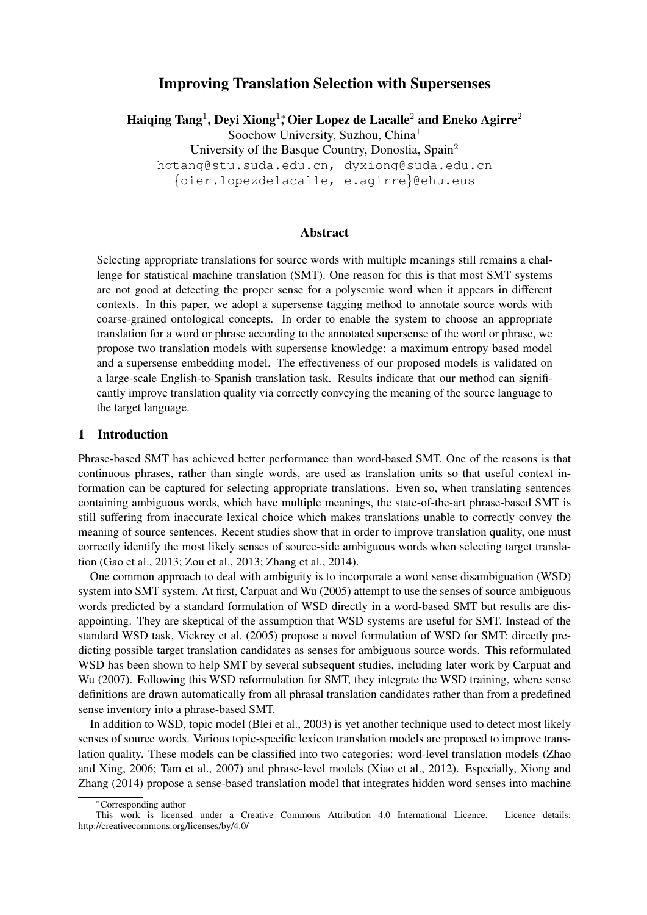# Improving Translation Selection with Supersenses

Haiqing Tang<sup>1</sup>, Deyi Xiong<sup>1</sup>; Oier Lopez de Lacalle<sup>2</sup> and Eneko Agirre<sup>2</sup> Soochow University, Suzhou, China<sup>1</sup> University of the Basque Country, Donostia, Spain<sup>2</sup>

hqtang@stu.suda.edu.cn, dyxiong@suda.edu.cn

{oier.lopezdelacalle, e.agirre}@ehu.eus

### Abstract

Selecting appropriate translations for source words with multiple meanings still remains a challenge for statistical machine translation (SMT). One reason for this is that most SMT systems are not good at detecting the proper sense for a polysemic word when it appears in different contexts. In this paper, we adopt a supersense tagging method to annotate source words with coarse-grained ontological concepts. In order to enable the system to choose an appropriate translation for a word or phrase according to the annotated supersense of the word or phrase, we propose two translation models with supersense knowledge: a maximum entropy based model and a supersense embedding model. The effectiveness of our proposed models is validated on a large-scale English-to-Spanish translation task. Results indicate that our method can significantly improve translation quality via correctly conveying the meaning of the source language to the target language.

### 1 Introduction

Phrase-based SMT has achieved better performance than word-based SMT. One of the reasons is that continuous phrases, rather than single words, are used as translation units so that useful context information can be captured for selecting appropriate translations. Even so, when translating sentences containing ambiguous words, which have multiple meanings, the state-of-the-art phrase-based SMT is still suffering from inaccurate lexical choice which makes translations unable to correctly convey the meaning of source sentences. Recent studies show that in order to improve translation quality, one must correctly identify the most likely senses of source-side ambiguous words when selecting target translation (Gao et al., 2013; Zou et al., 2013; Zhang et al., 2014).

One common approach to deal with ambiguity is to incorporate a word sense disambiguation (WSD) system into SMT system. At first, Carpuat and Wu (2005) attempt to use the senses of source ambiguous words predicted by a standard formulation of WSD directly in a word-based SMT but results are disappointing. They are skeptical of the assumption that WSD systems are useful for SMT. Instead of the standard WSD task, Vickrey et al. (2005) propose a novel formulation of WSD for SMT: directly predicting possible target translation candidates as senses for ambiguous source words. This reformulated WSD has been shown to help SMT by several subsequent studies, including later work by Carpuat and Wu (2007). Following this WSD reformulation for SMT, they integrate the WSD training, where sense definitions are drawn automatically from all phrasal translation candidates rather than from a predefined sense inventory into a phrase-based SMT.

In addition to WSD, topic model (Blei et al., 2003) is yet another technique used to detect most likely senses of source words. Various topic-specific lexicon translation models are proposed to improve translation quality. These models can be classified into two categories: word-level translation models (Zhao and Xing, 2006; Tam et al., 2007) and phrase-level models (Xiao et al., 2012). Especially, Xiong and Zhang (2014) propose a sense-based translation model that integrates hidden word senses into machine

<sup>∗</sup>Corresponding author

This work is licensed under a Creative Commons Attribution 4.0 International Licence. Licence details: http://creativecommons.org/licenses/by/4.0/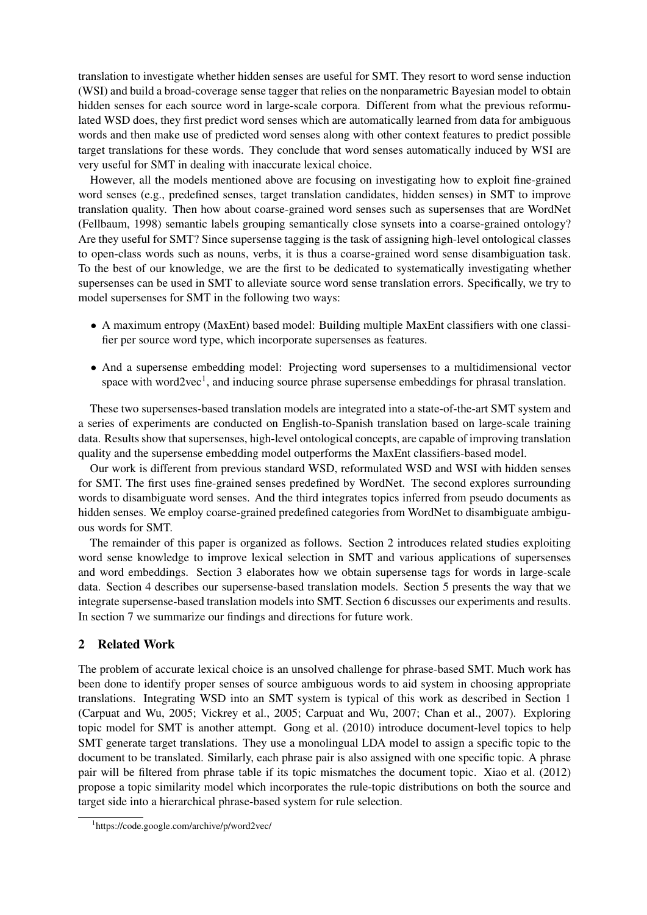translation to investigate whether hidden senses are useful for SMT. They resort to word sense induction (WSI) and build a broad-coverage sense tagger that relies on the nonparametric Bayesian model to obtain hidden senses for each source word in large-scale corpora. Different from what the previous reformulated WSD does, they first predict word senses which are automatically learned from data for ambiguous words and then make use of predicted word senses along with other context features to predict possible target translations for these words. They conclude that word senses automatically induced by WSI are very useful for SMT in dealing with inaccurate lexical choice.

However, all the models mentioned above are focusing on investigating how to exploit fine-grained word senses (e.g., predefined senses, target translation candidates, hidden senses) in SMT to improve translation quality. Then how about coarse-grained word senses such as supersenses that are WordNet (Fellbaum, 1998) semantic labels grouping semantically close synsets into a coarse-grained ontology? Are they useful for SMT? Since supersense tagging is the task of assigning high-level ontological classes to open-class words such as nouns, verbs, it is thus a coarse-grained word sense disambiguation task. To the best of our knowledge, we are the first to be dedicated to systematically investigating whether supersenses can be used in SMT to alleviate source word sense translation errors. Specifically, we try to model supersenses for SMT in the following two ways:

- A maximum entropy (MaxEnt) based model: Building multiple MaxEnt classifiers with one classifier per source word type, which incorporate supersenses as features.
- And a supersense embedding model: Projecting word supersenses to a multidimensional vector space with word2vec<sup>1</sup>, and inducing source phrase supersense embeddings for phrasal translation.

These two supersenses-based translation models are integrated into a state-of-the-art SMT system and a series of experiments are conducted on English-to-Spanish translation based on large-scale training data. Results show that supersenses, high-level ontological concepts, are capable of improving translation quality and the supersense embedding model outperforms the MaxEnt classifiers-based model.

Our work is different from previous standard WSD, reformulated WSD and WSI with hidden senses for SMT. The first uses fine-grained senses predefined by WordNet. The second explores surrounding words to disambiguate word senses. And the third integrates topics inferred from pseudo documents as hidden senses. We employ coarse-grained predefined categories from WordNet to disambiguate ambiguous words for SMT.

The remainder of this paper is organized as follows. Section 2 introduces related studies exploiting word sense knowledge to improve lexical selection in SMT and various applications of supersenses and word embeddings. Section 3 elaborates how we obtain supersense tags for words in large-scale data. Section 4 describes our supersense-based translation models. Section 5 presents the way that we integrate supersense-based translation models into SMT. Section 6 discusses our experiments and results. In section 7 we summarize our findings and directions for future work.

## 2 Related Work

The problem of accurate lexical choice is an unsolved challenge for phrase-based SMT. Much work has been done to identify proper senses of source ambiguous words to aid system in choosing appropriate translations. Integrating WSD into an SMT system is typical of this work as described in Section 1 (Carpuat and Wu, 2005; Vickrey et al., 2005; Carpuat and Wu, 2007; Chan et al., 2007). Exploring topic model for SMT is another attempt. Gong et al. (2010) introduce document-level topics to help SMT generate target translations. They use a monolingual LDA model to assign a specific topic to the document to be translated. Similarly, each phrase pair is also assigned with one specific topic. A phrase pair will be filtered from phrase table if its topic mismatches the document topic. Xiao et al. (2012) propose a topic similarity model which incorporates the rule-topic distributions on both the source and target side into a hierarchical phrase-based system for rule selection.

<sup>1</sup> https://code.google.com/archive/p/word2vec/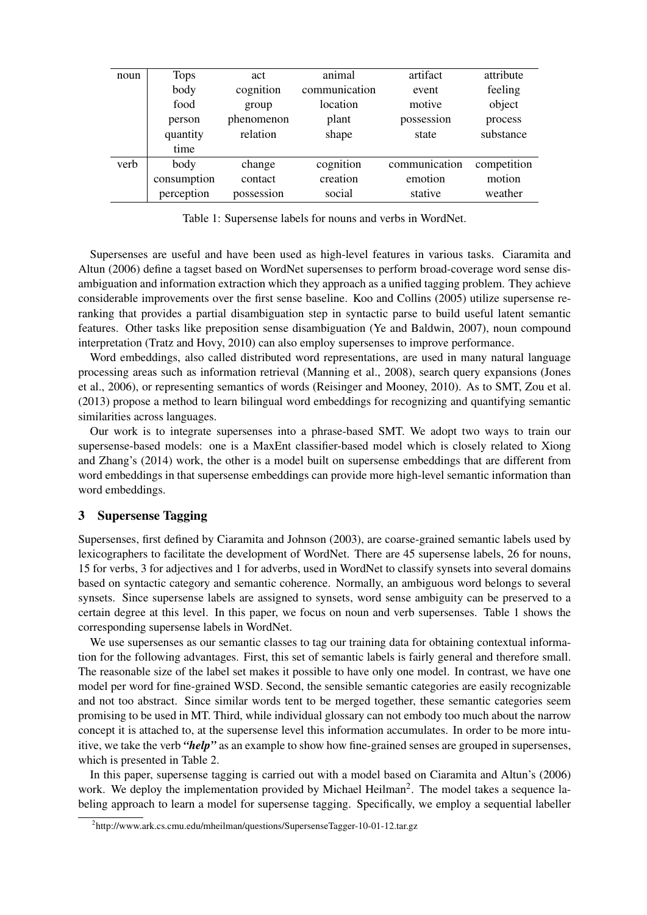| noun | <b>Tops</b> | act        | animal        | artifact      | attribute   |
|------|-------------|------------|---------------|---------------|-------------|
|      | body        | cognition  | communication | event         | feeling     |
|      | food        | group      | location      | motive        | object      |
|      | person      | phenomenon | plant         | possession    | process     |
|      | quantity    | relation   | shape         | state         | substance   |
|      | time        |            |               |               |             |
| verb | body        | change     | cognition     | communication | competition |
|      | consumption | contact    | creation      | emotion       | motion      |
|      | perception  | possession | social        | stative       | weather     |

Table 1: Supersense labels for nouns and verbs in WordNet.

Supersenses are useful and have been used as high-level features in various tasks. Ciaramita and Altun (2006) define a tagset based on WordNet supersenses to perform broad-coverage word sense disambiguation and information extraction which they approach as a unified tagging problem. They achieve considerable improvements over the first sense baseline. Koo and Collins (2005) utilize supersense reranking that provides a partial disambiguation step in syntactic parse to build useful latent semantic features. Other tasks like preposition sense disambiguation (Ye and Baldwin, 2007), noun compound interpretation (Tratz and Hovy, 2010) can also employ supersenses to improve performance.

Word embeddings, also called distributed word representations, are used in many natural language processing areas such as information retrieval (Manning et al., 2008), search query expansions (Jones et al., 2006), or representing semantics of words (Reisinger and Mooney, 2010). As to SMT, Zou et al. (2013) propose a method to learn bilingual word embeddings for recognizing and quantifying semantic similarities across languages.

Our work is to integrate supersenses into a phrase-based SMT. We adopt two ways to train our supersense-based models: one is a MaxEnt classifier-based model which is closely related to Xiong and Zhang's (2014) work, the other is a model built on supersense embeddings that are different from word embeddings in that supersense embeddings can provide more high-level semantic information than word embeddings.

## 3 Supersense Tagging

Supersenses, first defined by Ciaramita and Johnson (2003), are coarse-grained semantic labels used by lexicographers to facilitate the development of WordNet. There are 45 supersense labels, 26 for nouns, 15 for verbs, 3 for adjectives and 1 for adverbs, used in WordNet to classify synsets into several domains based on syntactic category and semantic coherence. Normally, an ambiguous word belongs to several synsets. Since supersense labels are assigned to synsets, word sense ambiguity can be preserved to a certain degree at this level. In this paper, we focus on noun and verb supersenses. Table 1 shows the corresponding supersense labels in WordNet.

We use supersenses as our semantic classes to tag our training data for obtaining contextual information for the following advantages. First, this set of semantic labels is fairly general and therefore small. The reasonable size of the label set makes it possible to have only one model. In contrast, we have one model per word for fine-grained WSD. Second, the sensible semantic categories are easily recognizable and not too abstract. Since similar words tent to be merged together, these semantic categories seem promising to be used in MT. Third, while individual glossary can not embody too much about the narrow concept it is attached to, at the supersense level this information accumulates. In order to be more intuitive, we take the verb *"help"* as an example to show how fine-grained senses are grouped in supersenses, which is presented in Table 2.

In this paper, supersense tagging is carried out with a model based on Ciaramita and Altun's (2006) work. We deploy the implementation provided by Michael Heilman<sup>2</sup>. The model takes a sequence labeling approach to learn a model for supersense tagging. Specifically, we employ a sequential labeller

<sup>2</sup> http://www.ark.cs.cmu.edu/mheilman/questions/SupersenseTagger-10-01-12.tar.gz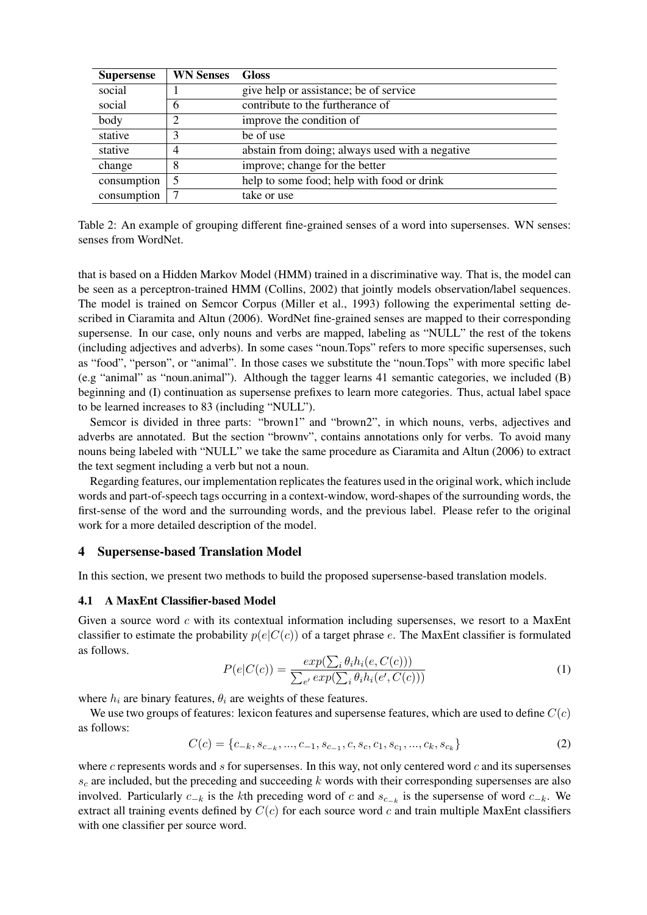| <b>Supersense</b>                                         | <b>WN Senses</b> | <b>Gloss</b>                                    |  |
|-----------------------------------------------------------|------------------|-------------------------------------------------|--|
| social                                                    |                  | give help or assistance; be of service          |  |
| social                                                    | 6                | contribute to the furtherance of                |  |
| body                                                      |                  | improve the condition of                        |  |
| stative                                                   |                  | be of use                                       |  |
| stative                                                   | 4                | abstain from doing; always used with a negative |  |
| change                                                    | 8                | improve; change for the better                  |  |
| consumption<br>help to some food; help with food or drink |                  |                                                 |  |
| consumption                                               |                  | take or use                                     |  |

| Table 2: An example of grouping different fine-grained senses of a word into supersenses. WN senses: |  |
|------------------------------------------------------------------------------------------------------|--|
| senses from WordNet.                                                                                 |  |

that is based on a Hidden Markov Model (HMM) trained in a discriminative way. That is, the model can be seen as a perceptron-trained HMM (Collins, 2002) that jointly models observation/label sequences. The model is trained on Semcor Corpus (Miller et al., 1993) following the experimental setting described in Ciaramita and Altun (2006). WordNet fine-grained senses are mapped to their corresponding supersense. In our case, only nouns and verbs are mapped, labeling as "NULL" the rest of the tokens (including adjectives and adverbs). In some cases "noun.Tops" refers to more specific supersenses, such as "food", "person", or "animal". In those cases we substitute the "noun.Tops" with more specific label (e.g "animal" as "noun.animal"). Although the tagger learns 41 semantic categories, we included (B) beginning and (I) continuation as supersense prefixes to learn more categories. Thus, actual label space to be learned increases to 83 (including "NULL").

Semcor is divided in three parts: "brown1" and "brown2", in which nouns, verbs, adjectives and adverbs are annotated. But the section "brownv", contains annotations only for verbs. To avoid many nouns being labeled with "NULL" we take the same procedure as Ciaramita and Altun (2006) to extract the text segment including a verb but not a noun.

Regarding features, our implementation replicates the features used in the original work, which include words and part-of-speech tags occurring in a context-window, word-shapes of the surrounding words, the first-sense of the word and the surrounding words, and the previous label. Please refer to the original work for a more detailed description of the model.

#### 4 Supersense-based Translation Model

In this section, we present two methods to build the proposed supersense-based translation models.

#### 4.1 A MaxEnt Classifier-based Model

Given a source word  $c$  with its contextual information including supersenses, we resort to a MaxEnt classifier to estimate the probability  $p(e|C(c))$  of a target phrase e. The MaxEnt classifier is formulated as follows.

$$
P(e|C(c)) = \frac{exp(\sum_{i} \theta_i h_i(e, C(c)))}{\sum_{e'} exp(\sum_{i} \theta_i h_i(e', C(c)))}
$$
\n(1)

where  $h_i$  are binary features,  $\theta_i$  are weights of these features.

We use two groups of features: lexicon features and supersense features, which are used to define  $C(c)$ as follows:

$$
C(c) = \{c_{-k}, s_{c_{-k}}, ..., c_{-1}, s_{c_{-1}}, c, s_c, c_1, s_{c_1}, ..., c_k, s_{c_k}\}\tag{2}
$$

where  $c$  represents words and  $s$  for supersenses. In this way, not only centered word  $c$  and its supersenses  $s_c$  are included, but the preceding and succeeding k words with their corresponding supersenses are also involved. Particularly  $c_{-k}$  is the kth preceding word of c and  $s_{c_{-k}}$  is the supersense of word  $c_{-k}$ . We extract all training events defined by  $C(c)$  for each source word c and train multiple MaxEnt classifiers with one classifier per source word.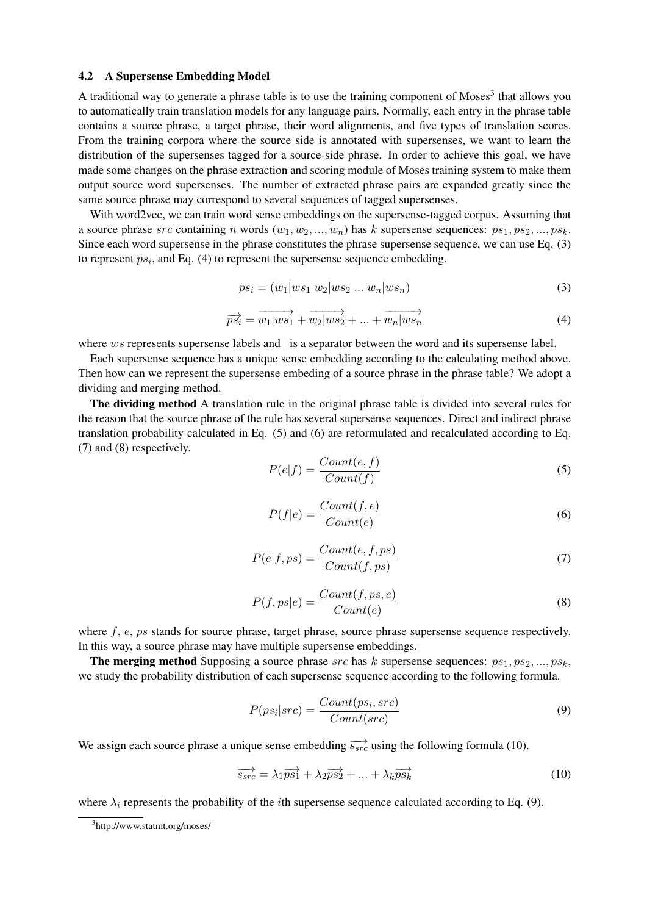#### 4.2 A Supersense Embedding Model

A traditional way to generate a phrase table is to use the training component of Moses<sup>3</sup> that allows you to automatically train translation models for any language pairs. Normally, each entry in the phrase table contains a source phrase, a target phrase, their word alignments, and five types of translation scores. From the training corpora where the source side is annotated with supersenses, we want to learn the distribution of the supersenses tagged for a source-side phrase. In order to achieve this goal, we have made some changes on the phrase extraction and scoring module of Moses training system to make them output source word supersenses. The number of extracted phrase pairs are expanded greatly since the same source phrase may correspond to several sequences of tagged supersenses.

With word2vec, we can train word sense embeddings on the supersense-tagged corpus. Assuming that a source phrase src containing n words  $(w_1, w_2, ..., w_n)$  has k supersense sequences:  $ps_1, ps_2, ..., ps_k$ . Since each word supersense in the phrase constitutes the phrase supersense sequence, we can use Eq. (3) to represent  $ps_i$ , and Eq. (4) to represent the supersense sequence embedding.

$$
ps_i = (w_1|ws_1 \ w_2|ws_2 \ ... \ w_n|ws_n)
$$
\n(3)

$$
\overrightarrow{ps_i} = \overrightarrow{w_1|ws_1} + \overrightarrow{w_2|ws_2} + \dots + \overrightarrow{w_n|ws_n}
$$
\n(4)

where  $ws$  represents supersense labels and  $\vert$  is a separator between the word and its supersense label.

Each supersense sequence has a unique sense embedding according to the calculating method above. Then how can we represent the supersense embeding of a source phrase in the phrase table? We adopt a dividing and merging method.

The dividing method A translation rule in the original phrase table is divided into several rules for the reason that the source phrase of the rule has several supersense sequences. Direct and indirect phrase translation probability calculated in Eq. (5) and (6) are reformulated and recalculated according to Eq. (7) and (8) respectively.

$$
P(e|f) = \frac{Count(e, f)}{Count(f)}
$$
\n(5)

$$
P(f|e) = \frac{Count(f, e)}{Count(e)}\tag{6}
$$

$$
P(e|f, ps) = \frac{Count(e, f, ps)}{Count(f, ps)}
$$
\n(7)

$$
P(f, ps|e) = \frac{Count(f, ps, e)}{Count(e)}
$$
\n(8)

where  $f$ ,  $e$ ,  $p_s$  stands for source phrase, target phrase, source phrase supersense sequence respectively. In this way, a source phrase may have multiple supersense embeddings.

**The merging method** Supposing a source phrase src has k supersense sequences:  $ps_1, ps_2, ..., ps_k$ , we study the probability distribution of each supersense sequence according to the following formula.

$$
P(ps_i|src) = \frac{Count(ps_i, src)}{Count(src)}
$$
\n(9)

We assign each source phrase a unique sense embedding  $\overrightarrow{s_{src}}$  using the following formula (10).

$$
\overrightarrow{s_{src}} = \lambda_1 \overrightarrow{ps_1} + \lambda_2 \overrightarrow{ps_2} + \dots + \lambda_k \overrightarrow{ps_k}
$$
 (10)

where  $\lambda_i$  represents the probability of the *i*th supersense sequence calculated according to Eq. (9).

<sup>3</sup> http://www.statmt.org/moses/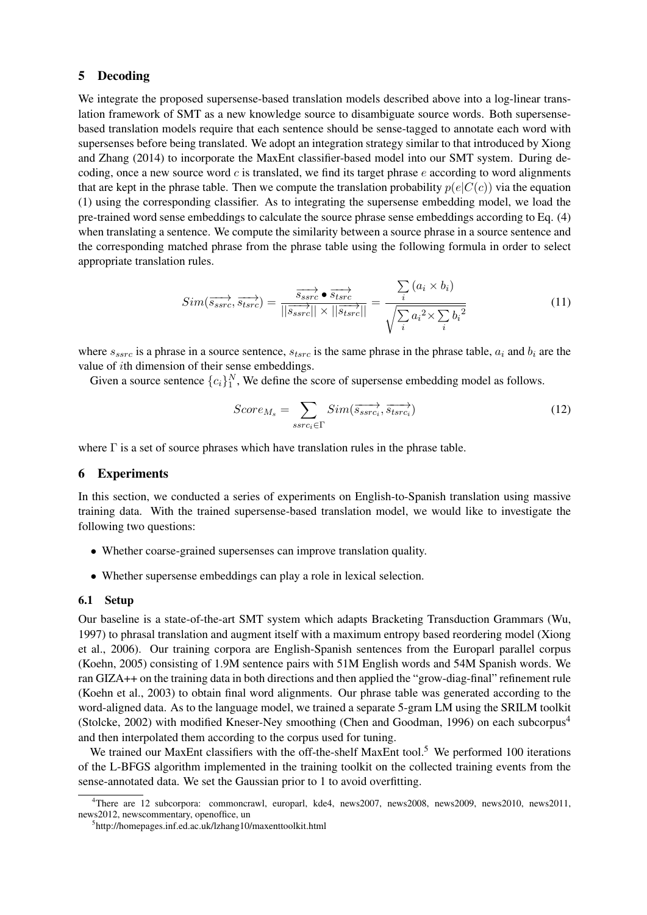#### 5 Decoding

We integrate the proposed supersense-based translation models described above into a log-linear translation framework of SMT as a new knowledge source to disambiguate source words. Both supersensebased translation models require that each sentence should be sense-tagged to annotate each word with supersenses before being translated. We adopt an integration strategy similar to that introduced by Xiong and Zhang (2014) to incorporate the MaxEnt classifier-based model into our SMT system. During decoding, once a new source word  $c$  is translated, we find its target phrase  $e$  according to word alignments that are kept in the phrase table. Then we compute the translation probability  $p(e|C(c))$  via the equation (1) using the corresponding classifier. As to integrating the supersense embedding model, we load the pre-trained word sense embeddings to calculate the source phrase sense embeddings according to Eq. (4) when translating a sentence. We compute the similarity between a source phrase in a source sentence and the corresponding matched phrase from the phrase table using the following formula in order to select appropriate translation rules.

$$
Sim(\overrightarrow{s_{ssrc}}, \overrightarrow{s_{tsrc}}) = \frac{\overrightarrow{s_{ssrc}} \bullet \overrightarrow{s_{tsrc}}}{||\overrightarrow{s_{ssrc}}|| \times ||\overrightarrow{s_{tsrc}}||} = \frac{\sum_{i} (a_i \times b_i)}{\sqrt{\sum_{i} a_i^2 \times \sum_{i} b_i^2}}
$$
(11)

where  $s_{ssrc}$  is a phrase in a source sentence,  $s_{tsrc}$  is the same phrase in the phrase table,  $a_i$  and  $b_i$  are the value of ith dimension of their sense embeddings.

Given a source sentence  $\{c_i\}_1^N$ , We define the score of supersense embedding model as follows.

$$
Score_{M_s} = \sum_{ssrc_i \in \Gamma} Sim(\overrightarrow{s_{ssrc_i}}, \overrightarrow{s_{tsrc_i}})
$$
(12)

where  $\Gamma$  is a set of source phrases which have translation rules in the phrase table.

## 6 Experiments

In this section, we conducted a series of experiments on English-to-Spanish translation using massive training data. With the trained supersense-based translation model, we would like to investigate the following two questions:

- Whether coarse-grained supersenses can improve translation quality.
- Whether supersense embeddings can play a role in lexical selection.

#### 6.1 Setup

Our baseline is a state-of-the-art SMT system which adapts Bracketing Transduction Grammars (Wu, 1997) to phrasal translation and augment itself with a maximum entropy based reordering model (Xiong et al., 2006). Our training corpora are English-Spanish sentences from the Europarl parallel corpus (Koehn, 2005) consisting of 1.9M sentence pairs with 51M English words and 54M Spanish words. We ran GIZA++ on the training data in both directions and then applied the "grow-diag-final" refinement rule (Koehn et al., 2003) to obtain final word alignments. Our phrase table was generated according to the word-aligned data. As to the language model, we trained a separate 5-gram LM using the SRILM toolkit (Stolcke, 2002) with modified Kneser-Ney smoothing (Chen and Goodman, 1996) on each subcorpus<sup>4</sup> and then interpolated them according to the corpus used for tuning.

We trained our MaxEnt classifiers with the off-the-shelf MaxEnt tool.<sup>5</sup> We performed 100 iterations of the L-BFGS algorithm implemented in the training toolkit on the collected training events from the sense-annotated data. We set the Gaussian prior to 1 to avoid overfitting.

<sup>4</sup>There are 12 subcorpora: commoncrawl, europarl, kde4, news2007, news2008, news2009, news2010, news2011, news2012, newscommentary, openoffice, un

<sup>5</sup> http://homepages.inf.ed.ac.uk/lzhang10/maxenttoolkit.html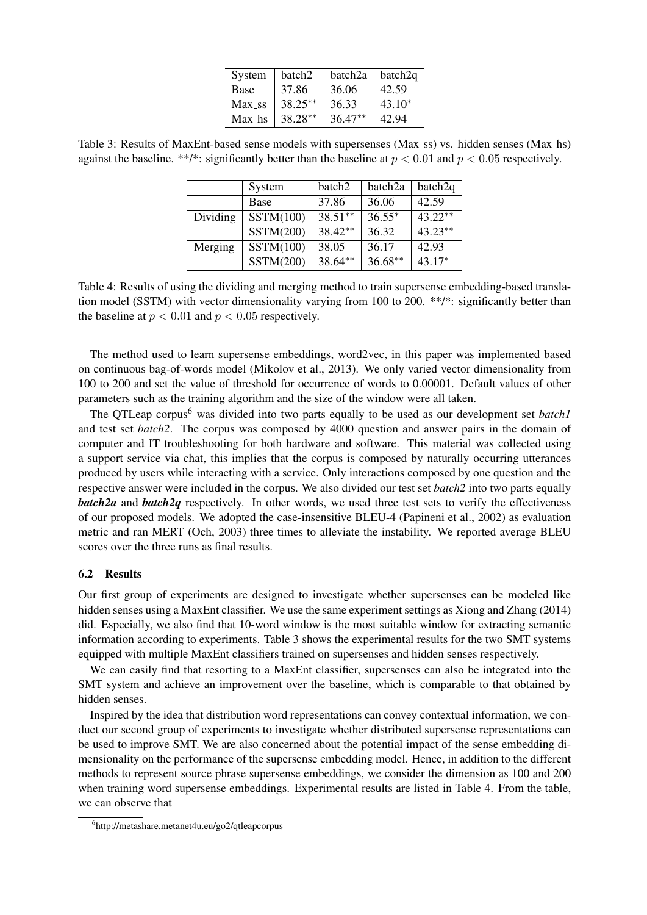| System             | batch <sub>2</sub> | batch <sub>2a</sub> | batch2q  |
|--------------------|--------------------|---------------------|----------|
| Base               | 37.86              | 36.06               | 42.59    |
| Max <sub>-SS</sub> | $38.25**$          | 36.33               | $43.10*$ |
| Max hs             | $38.28**$          | $36.47**$           | 42.94    |

Table 3: Results of MaxEnt-based sense models with supersenses (Max\_ss) vs. hidden senses (Max\_hs) against the baseline. \*\*/\*: significantly better than the baseline at  $p < 0.01$  and  $p < 0.05$  respectively.

|          | System      | batch2    | batch <sub>2a</sub> | batch2q   |
|----------|-------------|-----------|---------------------|-----------|
|          | <b>Base</b> | 37.86     | 36.06               | 42.59     |
| Dividing | SSTM(100)   | $38.51**$ | $36.55*$            | $43.22**$ |
|          | SSTM(200)   | 38.42**   | 36.32               | $43.23**$ |
| Merging  | SSTM(100)   | 38.05     | 36.17               | 42.93     |
|          | SSTM(200)   | 38.64**   | $36.68**$           | $43.17*$  |

Table 4: Results of using the dividing and merging method to train supersense embedding-based translation model (SSTM) with vector dimensionality varying from 100 to 200. \*\*/\*: significantly better than the baseline at  $p < 0.01$  and  $p < 0.05$  respectively.

The method used to learn supersense embeddings, word2vec, in this paper was implemented based on continuous bag-of-words model (Mikolov et al., 2013). We only varied vector dimensionality from 100 to 200 and set the value of threshold for occurrence of words to 0.00001. Default values of other parameters such as the training algorithm and the size of the window were all taken.

The OTLeap corpus<sup>6</sup> was divided into two parts equally to be used as our development set *batch1* and test set *batch2*. The corpus was composed by 4000 question and answer pairs in the domain of computer and IT troubleshooting for both hardware and software. This material was collected using a support service via chat, this implies that the corpus is composed by naturally occurring utterances produced by users while interacting with a service. Only interactions composed by one question and the respective answer were included in the corpus. We also divided our test set *batch2* into two parts equally *batch2a* and *batch2q* respectively. In other words, we used three test sets to verify the effectiveness of our proposed models. We adopted the case-insensitive BLEU-4 (Papineni et al., 2002) as evaluation metric and ran MERT (Och, 2003) three times to alleviate the instability. We reported average BLEU scores over the three runs as final results.

#### 6.2 Results

Our first group of experiments are designed to investigate whether supersenses can be modeled like hidden senses using a MaxEnt classifier. We use the same experiment settings as Xiong and Zhang (2014) did. Especially, we also find that 10-word window is the most suitable window for extracting semantic information according to experiments. Table 3 shows the experimental results for the two SMT systems equipped with multiple MaxEnt classifiers trained on supersenses and hidden senses respectively.

We can easily find that resorting to a MaxEnt classifier, supersenses can also be integrated into the SMT system and achieve an improvement over the baseline, which is comparable to that obtained by hidden senses.

Inspired by the idea that distribution word representations can convey contextual information, we conduct our second group of experiments to investigate whether distributed supersense representations can be used to improve SMT. We are also concerned about the potential impact of the sense embedding dimensionality on the performance of the supersense embedding model. Hence, in addition to the different methods to represent source phrase supersense embeddings, we consider the dimension as 100 and 200 when training word supersense embeddings. Experimental results are listed in Table 4. From the table, we can observe that

<sup>6</sup> http://metashare.metanet4u.eu/go2/qtleapcorpus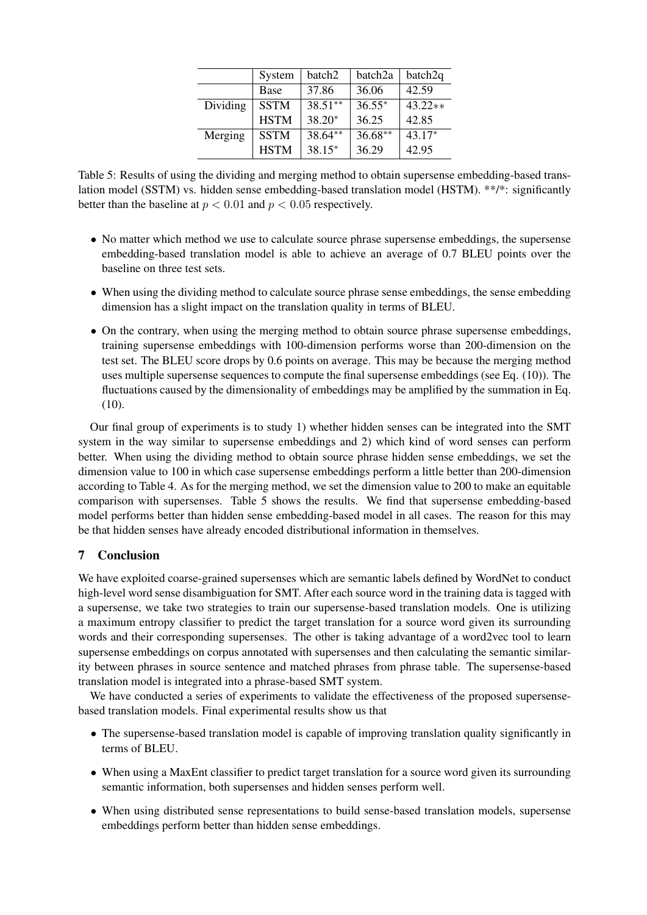|          | System      | batch2    | batch2a   | batch2q   |
|----------|-------------|-----------|-----------|-----------|
|          | Base        | 37.86     | 36.06     | 42.59     |
| Dividing | <b>SSTM</b> | $38.51**$ | $36.55*$  | $43.22**$ |
|          | <b>HSTM</b> | $38.20*$  | 36.25     | 42.85     |
| Merging  | <b>SSTM</b> | $38.64**$ | $36.68**$ | $43.17*$  |
|          | <b>HSTM</b> | $38.15*$  | 36.29     | 42.95     |

Table 5: Results of using the dividing and merging method to obtain supersense embedding-based translation model (SSTM) vs. hidden sense embedding-based translation model (HSTM). \*\*/\*: significantly better than the baseline at  $p < 0.01$  and  $p < 0.05$  respectively.

- No matter which method we use to calculate source phrase supersense embeddings, the supersense embedding-based translation model is able to achieve an average of 0.7 BLEU points over the baseline on three test sets.
- When using the dividing method to calculate source phrase sense embeddings, the sense embedding dimension has a slight impact on the translation quality in terms of BLEU.
- On the contrary, when using the merging method to obtain source phrase supersense embeddings, training supersense embeddings with 100-dimension performs worse than 200-dimension on the test set. The BLEU score drops by 0.6 points on average. This may be because the merging method uses multiple supersense sequences to compute the final supersense embeddings (see Eq. (10)). The fluctuations caused by the dimensionality of embeddings may be amplified by the summation in Eq. (10).

Our final group of experiments is to study 1) whether hidden senses can be integrated into the SMT system in the way similar to supersense embeddings and 2) which kind of word senses can perform better. When using the dividing method to obtain source phrase hidden sense embeddings, we set the dimension value to 100 in which case supersense embeddings perform a little better than 200-dimension according to Table 4. As for the merging method, we set the dimension value to 200 to make an equitable comparison with supersenses. Table 5 shows the results. We find that supersense embedding-based model performs better than hidden sense embedding-based model in all cases. The reason for this may be that hidden senses have already encoded distributional information in themselves.

# 7 Conclusion

We have exploited coarse-grained supersenses which are semantic labels defined by WordNet to conduct high-level word sense disambiguation for SMT. After each source word in the training data is tagged with a supersense, we take two strategies to train our supersense-based translation models. One is utilizing a maximum entropy classifier to predict the target translation for a source word given its surrounding words and their corresponding supersenses. The other is taking advantage of a word2vec tool to learn supersense embeddings on corpus annotated with supersenses and then calculating the semantic similarity between phrases in source sentence and matched phrases from phrase table. The supersense-based translation model is integrated into a phrase-based SMT system.

We have conducted a series of experiments to validate the effectiveness of the proposed supersensebased translation models. Final experimental results show us that

- The supersense-based translation model is capable of improving translation quality significantly in terms of BLEU.
- When using a MaxEnt classifier to predict target translation for a source word given its surrounding semantic information, both supersenses and hidden senses perform well.
- When using distributed sense representations to build sense-based translation models, supersense embeddings perform better than hidden sense embeddings.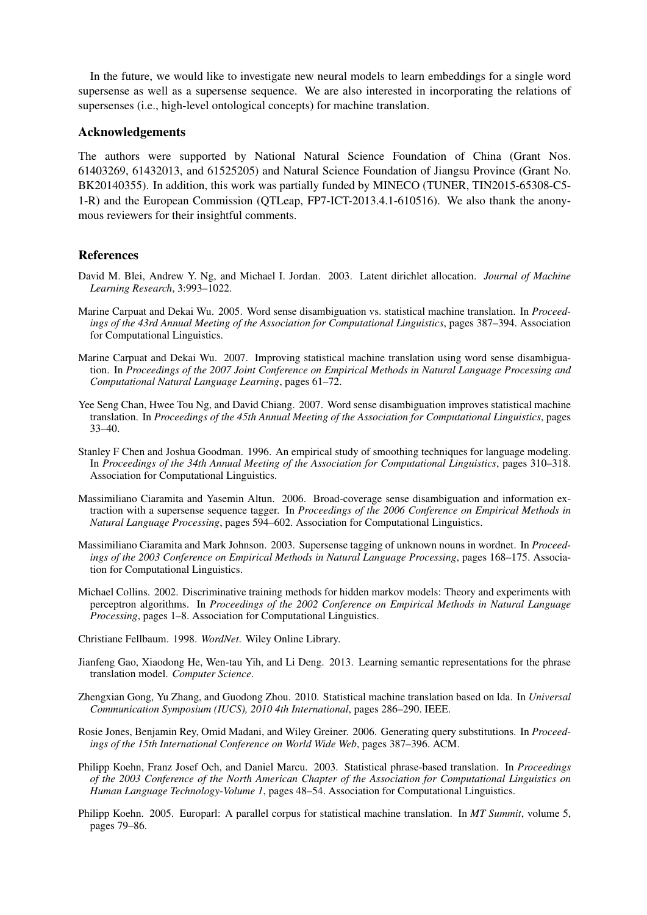In the future, we would like to investigate new neural models to learn embeddings for a single word supersense as well as a supersense sequence. We are also interested in incorporating the relations of supersenses (i.e., high-level ontological concepts) for machine translation.

#### Acknowledgements

The authors were supported by National Natural Science Foundation of China (Grant Nos. 61403269, 61432013, and 61525205) and Natural Science Foundation of Jiangsu Province (Grant No. BK20140355). In addition, this work was partially funded by MINECO (TUNER, TIN2015-65308-C5- 1-R) and the European Commission (QTLeap, FP7-ICT-2013.4.1-610516). We also thank the anonymous reviewers for their insightful comments.

#### References

- David M. Blei, Andrew Y. Ng, and Michael I. Jordan. 2003. Latent dirichlet allocation. *Journal of Machine Learning Research*, 3:993–1022.
- Marine Carpuat and Dekai Wu. 2005. Word sense disambiguation vs. statistical machine translation. In *Proceedings of the 43rd Annual Meeting of the Association for Computational Linguistics*, pages 387–394. Association for Computational Linguistics.
- Marine Carpuat and Dekai Wu. 2007. Improving statistical machine translation using word sense disambiguation. In *Proceedings of the 2007 Joint Conference on Empirical Methods in Natural Language Processing and Computational Natural Language Learning*, pages 61–72.
- Yee Seng Chan, Hwee Tou Ng, and David Chiang. 2007. Word sense disambiguation improves statistical machine translation. In *Proceedings of the 45th Annual Meeting of the Association for Computational Linguistics*, pages 33–40.
- Stanley F Chen and Joshua Goodman. 1996. An empirical study of smoothing techniques for language modeling. In *Proceedings of the 34th Annual Meeting of the Association for Computational Linguistics*, pages 310–318. Association for Computational Linguistics.
- Massimiliano Ciaramita and Yasemin Altun. 2006. Broad-coverage sense disambiguation and information extraction with a supersense sequence tagger. In *Proceedings of the 2006 Conference on Empirical Methods in Natural Language Processing*, pages 594–602. Association for Computational Linguistics.
- Massimiliano Ciaramita and Mark Johnson. 2003. Supersense tagging of unknown nouns in wordnet. In *Proceedings of the 2003 Conference on Empirical Methods in Natural Language Processing*, pages 168–175. Association for Computational Linguistics.
- Michael Collins. 2002. Discriminative training methods for hidden markov models: Theory and experiments with perceptron algorithms. In *Proceedings of the 2002 Conference on Empirical Methods in Natural Language Processing*, pages 1–8. Association for Computational Linguistics.

Christiane Fellbaum. 1998. *WordNet*. Wiley Online Library.

- Jianfeng Gao, Xiaodong He, Wen-tau Yih, and Li Deng. 2013. Learning semantic representations for the phrase translation model. *Computer Science*.
- Zhengxian Gong, Yu Zhang, and Guodong Zhou. 2010. Statistical machine translation based on lda. In *Universal Communication Symposium (IUCS), 2010 4th International*, pages 286–290. IEEE.
- Rosie Jones, Benjamin Rey, Omid Madani, and Wiley Greiner. 2006. Generating query substitutions. In *Proceedings of the 15th International Conference on World Wide Web*, pages 387–396. ACM.
- Philipp Koehn, Franz Josef Och, and Daniel Marcu. 2003. Statistical phrase-based translation. In *Proceedings of the 2003 Conference of the North American Chapter of the Association for Computational Linguistics on Human Language Technology-Volume 1*, pages 48–54. Association for Computational Linguistics.
- Philipp Koehn. 2005. Europarl: A parallel corpus for statistical machine translation. In *MT Summit*, volume 5, pages 79–86.